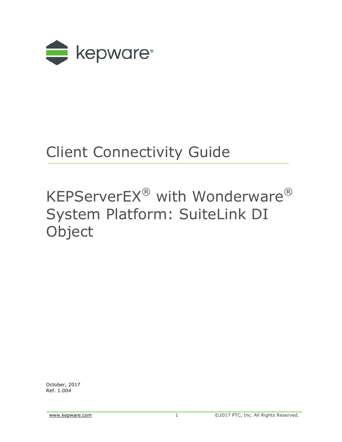

# Client Connectivity Guide

# KEPServerEX® with Wonderware® System Platform: SuiteLink DI **Object**

October, 2017 Ref. 1.00*4*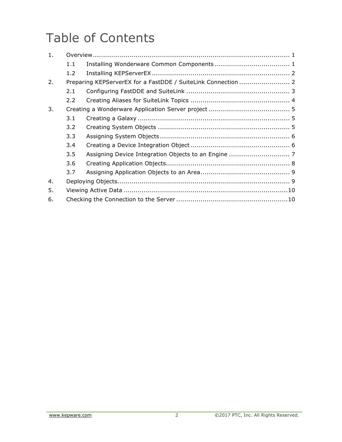## Table of Contents

| 1. |     |                                                               |  |  |  |  |  |  |  |  |
|----|-----|---------------------------------------------------------------|--|--|--|--|--|--|--|--|
|    | 1.1 |                                                               |  |  |  |  |  |  |  |  |
|    | 1.2 |                                                               |  |  |  |  |  |  |  |  |
| 2. |     | Preparing KEPServerEX for a FastDDE / SuiteLink Connection  2 |  |  |  |  |  |  |  |  |
|    | 2.1 |                                                               |  |  |  |  |  |  |  |  |
|    | 2.2 |                                                               |  |  |  |  |  |  |  |  |
| 3. |     |                                                               |  |  |  |  |  |  |  |  |
|    | 3.1 |                                                               |  |  |  |  |  |  |  |  |
|    | 3.2 |                                                               |  |  |  |  |  |  |  |  |
|    | 3.3 |                                                               |  |  |  |  |  |  |  |  |
|    | 3.4 |                                                               |  |  |  |  |  |  |  |  |
|    | 3.5 |                                                               |  |  |  |  |  |  |  |  |
|    | 3.6 |                                                               |  |  |  |  |  |  |  |  |
|    | 3.7 |                                                               |  |  |  |  |  |  |  |  |
| 4. |     |                                                               |  |  |  |  |  |  |  |  |
| 5. |     |                                                               |  |  |  |  |  |  |  |  |
| 6. |     |                                                               |  |  |  |  |  |  |  |  |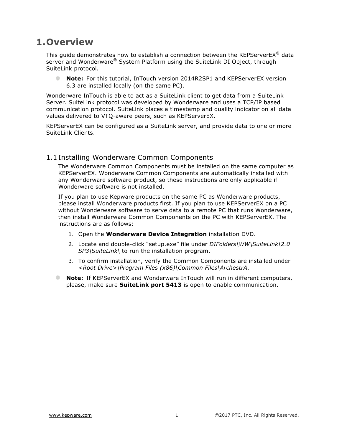## **1.Overview**

This guide demonstrates how to establish a connection between the KEPServerEX® data server and Wonderware® System Platform using the SuiteLink DI Object, through SuiteLink protocol.

**Note:** For this tutorial, InTouch version 2014R2SP1 and KEPServerEX version 6.3 are installed locally (on the same PC).

Wonderware InTouch is able to act as a SuiteLink client to get data from a SuiteLink Server. SuiteLink protocol was developed by Wonderware and uses a TCP/IP based communication protocol. SuiteLink places a timestamp and quality indicator on all data values delivered to VTQ-aware peers, such as KEPServerEX.

KEPServerEX can be configured as a SuiteLink server, and provide data to one or more SuiteLink Clients.

#### 1.1Installing Wonderware Common Components

The Wonderware Common Components must be installed on the same computer as KEPServerEX. Wonderware Common Components are automatically installed with any Wonderware software product, so these instructions are only applicable if Wonderware software is not installed.

If you plan to use Kepware products on the same PC as Wonderware products, please install Wonderware products first. If you plan to use KEPServerEX on a PC without Wonderware software to serve data to a remote PC that runs Wonderware, then install Wonderware Common Components on the PC with KEPServerEX. The instructions are as follows:

- 1. Open the **Wonderware Device Integration** installation DVD.
- 2. Locate and double-click "setup.exe" file under *DIFolders\WW\SuiteLink\2.0 SP3\SuiteLink\* to run the installation program.
- 3. To confirm installation, verify the Common Components are installed under *<Root Drive>\Program Files (x86)\Common Files\ArchestrA*.
- **Note:** If KEPServerEX and Wonderware InTouch will run in different computers, . please, make sure **SuiteLink port 5413** is open to enable communication.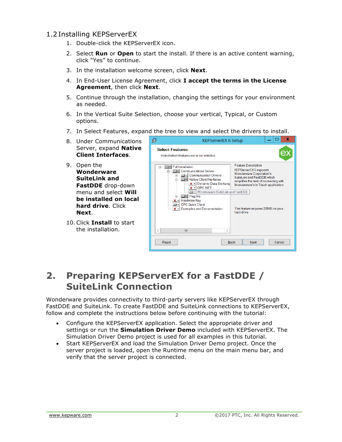## 1.2Installing KEPServerEX

- 1. Double-click the KEPServerEX icon.
- 2. Select **Run** or **Open** to start the install. If there is an active content warning, click "Yes" to continue.
- 3. In the installation welcome screen, click **Next**.
- 4. In End-User License Agreement, click **I accept the terms in the License Agreement**, then click **Next**.
- 5. Continue through the installation, changing the settings for your environment as needed.
- 6. In the Vertical Suite Selection, choose your vertical, Typical, or Custom options.
- 7. In Select Features, expand the tree to view and select the drivers to install.
- 8. Under Communications Server, expand **Native Client Interfaces**.
- 9. Open the **Wonderware SuiteLink and FastDDE** drop-down menu and select **Will be installed on local hard drive**. Click **Next**.
- 10.Click **Install** to start the installation.



## **2. Preparing KEPServerEX for a FastDDE / SuiteLink Connection**

Wonderware provides connectivity to third-party servers like KEPServerEX through FastDDE and SuiteLink. To create FastDDE and SuiteLink connections to KEPServerEX, follow and complete the instructions below before continuing with the tutorial:

- Configure the KEPServerEX application. Select the appropriate driver and settings or run the **Simulation Driver Demo** included with KEPServerEX. The Simulation Driver Demo project is used for all examples in this tutorial.
- Start KEPServerEX and load the Simulation Driver Demo project. Once the server project is loaded, open the Runtime menu on the main menu bar, and verify that the server project is connected.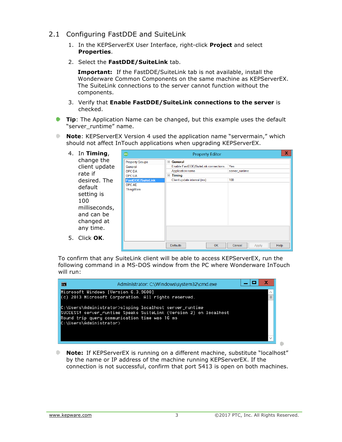- 2.1 Configuring FastDDE and SuiteLink
	- 1. In the KEPServerEX User Interface, right-click **Project** and select **Properties**.
	- 2. Select the **FastDDE/SuiteLink** tab.

**Important:** If the FastDDE/SuiteLink tab is not available, install the Wonderware Common Components on the same machine as KEPServerEX. The SuiteLink connections to the server cannot function without the components.

- 3. Verify that **Enable FastDDE/SuiteLink connections to the server** is checked.
- **Tip**: The Application Name can be changed, but this example uses the default "server\_runtime" name.
- **Note:** KEPServerEX Version 4 used the application name "servermain," which should not affect InTouch applications when upgrading KEPServerEX.

| 4. In Timing,        | x<br>ex<br><b>Property Editor</b> |                                      |                         |  |  |  |  |
|----------------------|-----------------------------------|--------------------------------------|-------------------------|--|--|--|--|
| change the           | <b>Property Groups</b>            | $=$<br>General                       |                         |  |  |  |  |
| client update        | General                           | Enable FastDDE/SuiteLink connections | Yes                     |  |  |  |  |
| rate if              | OPC DA                            | <b>Application name</b>              | server_runtime          |  |  |  |  |
|                      | <b>OPC UA</b>                     | <b>Timing</b>                        |                         |  |  |  |  |
| desired. The         | FastDDE/SuiteLink                 | Client update interval (ms)          | 100                     |  |  |  |  |
| default              | <b>OPCAE</b>                      |                                      |                         |  |  |  |  |
| setting is           | ThingWorx                         |                                      |                         |  |  |  |  |
|                      |                                   |                                      |                         |  |  |  |  |
| 100                  |                                   |                                      |                         |  |  |  |  |
| milliseconds,        |                                   |                                      |                         |  |  |  |  |
| and can be           |                                   |                                      |                         |  |  |  |  |
|                      |                                   |                                      |                         |  |  |  |  |
| changed at           |                                   |                                      |                         |  |  |  |  |
| any time.            |                                   |                                      |                         |  |  |  |  |
|                      |                                   |                                      |                         |  |  |  |  |
| 5. Click <b>OK</b> . |                                   |                                      |                         |  |  |  |  |
|                      |                                   | OK<br><b>Defaults</b>                | Help<br>Cancel<br>Apply |  |  |  |  |

To confirm that any SuiteLink client will be able to access KEPServerEX, run the following command in a MS-DOS window from the PC where Wonderware InTouch will run:



Û. **Note:** If KEPServerEX is running on a different machine, substitute "localhost" by the name or IP address of the machine running KEPServerEX. If the connection is not successful, confirm that port 5413 is open on both machines.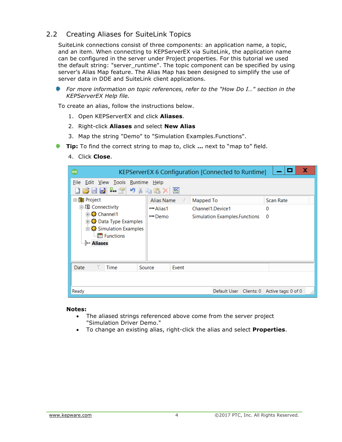## 2.2 Creating Aliases for SuiteLink Topics

SuiteLink connections consist of three components: an application name, a topic, and an item. When connecting to KEPServerEX via SuiteLink, the application name can be configured in the server under Project properties. For this tutorial we used the default string: "server\_runtime". The topic component can be specified by using server's Alias Map feature. The Alias Map has been designed to simplify the use of server data in DDE and SuiteLink client applications.

**For more information on topic references, refer to the "How Do I..." section in the** *KEPServerEX Help file.* 

To create an alias, follow the instructions below.

- 1. Open KEPServerEX and click **Aliases**.
- 2. Right-click **Aliases** and select **New Alias**
- 3. Map the string "Demo" to "Simulation Examples.Functions".
- **Tip:** To find the correct string to map to, click ... next to "map to" field.
	- 4. Click **Close**.

| x<br>ex<br>KEPServerEX 6 Configuration [Connected to Runtime]                                        |                  |                                |                          |  |  |  |  |  |  |  |
|------------------------------------------------------------------------------------------------------|------------------|--------------------------------|--------------------------|--|--|--|--|--|--|--|
| File Edit View Tools Runtime Help<br>りるも出り<br>$rac{}{0}{1}$<br>BHD <sup>2</sup>                      |                  |                                |                          |  |  |  |  |  |  |  |
| □ <mark>●</mark> Project                                                                             | Alias Name<br>75 | Mapped To                      | Scan Rate                |  |  |  |  |  |  |  |
| 白 (副 Connectivity                                                                                    | ↔ Alias1         | Channel 1. Device 1            | 0                        |  |  |  |  |  |  |  |
| 由 % Channel 1<br>由载 Data Type Examples<br>白·器 Simulation Examples<br><b>Functions</b><br>్లీ Aliases | ↔ Demo           | Simulation Examples. Functions | 0                        |  |  |  |  |  |  |  |
| Time<br>Date                                                                                         | Source<br>Event  |                                |                          |  |  |  |  |  |  |  |
|                                                                                                      |                  |                                |                          |  |  |  |  |  |  |  |
| Ready                                                                                                |                  | Default User Clients: 0        | Active tags: 0 of 0<br>A |  |  |  |  |  |  |  |

#### **Notes:**

- The aliased strings referenced above come from the server project "Simulation Driver Demo."
- To change an existing alias, right-click the alias and select **Properties**.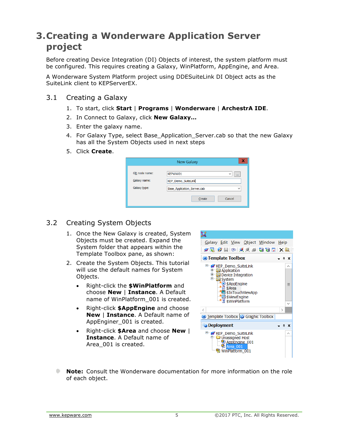## **3.Creating a Wonderware Application Server project**

Before creating Device Integration (DI) Objects of interest, the system platform must be configured. This requires creating a Galaxy, WinPlatform, AppEngine, and Area.

A Wonderware System Platform project using DDESuiteLink DI Object acts as the SuiteLink client to KEPServerEX.

- 3.1 Creating a Galaxy
	- 1. To start, click **Start** | **Programs** | **Wonderware** | **ArchestrA IDE**.
	- 2. In Connect to Galaxy, click **New Galaxy…**
	- 3. Enter the galaxy name.
	- 4. For Galaxy Type, select Base Application Server.cab so that the new Galaxy has all the System Objects used in next steps
	- 5. Click **Create**.

|                               | <b>New Galaxy</b>             |                          |
|-------------------------------|-------------------------------|--------------------------|
| GR node name:<br>Galaxy name: | KEPWW01<br>KEP_Demo_SuiteLink | $\checkmark$<br>$\cdots$ |
| Galaxy type:                  | Base_Application_Server.cab   | $\checkmark$             |
|                               | Create                        | Cancel                   |

## 3.2 Creating System Objects

- 1. Once the New Galaxy is created, System Objects must be created. Expand the System folder that appears within the Template Toolbox pane, as shown:
- 2. Create the System Objects. This tutorial will use the default names for System Objects.
	- Right-click the **\$WinPlatform** and choose **New** | **Instance**. A Default name of WinPlatform 001 is created.
	- Right-click **\$AppEngine** and choose **New** | **Instance**. A Default name of AppEnginer\_001 is created.
	- Right-click **\$Area** and choose **New** | **Instance**. A Default name of Area\_001 is created.



**Note:** Consult the Wonderware documentation for more information on the role of each object.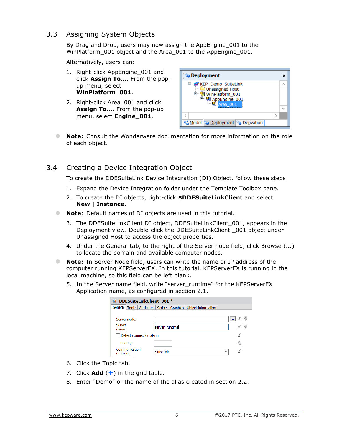#### 3.3 Assigning System Objects

By Drag and Drop, users may now assign the AppEngine 001 to the WinPlatform 001 object and the Area 001 to the AppEngine 001.

Alternatively, users can:

- 1. Right-click AppEngine 001 and click **Assign To…**. From the popup menu, select **WinPlatform\_001**.
- 2. Right-click Area\_001 and click **Assign To…**. From the pop-up menu, select **Engine\_001**.

![](_page_7_Figure_5.jpeg)

**Note:** Consult the Wonderware documentation for more information on the role of each object.

#### 3.4 Creating a Device Integration Object

To create the DDESuiteLink Device Integration (DI) Object, follow these steps:

- 1. Expand the Device Integration folder under the Template Toolbox pane.
- 2. To create the DI objects, right-click **\$DDESuiteLinkClient** and select **New** | **Instance**.
- ۰ **Note**: Default names of DI objects are used in this tutorial.
	- 3. The DDESuiteLinkClient DI object, DDESuiteLinkClient\_001, appears in the Deployment view. Double-click the DDESuiteLinkClient \_001 object under Unassigned Host to access the object properties.
	- 4. Under the General tab, to the right of the Server node field, click Browse (**…**) to locate the domain and available computer nodes.
- **Note:** In Server Node field, users can write the name or IP address of the computer running KEPServerEX. In this tutorial, KEPServerEX is running in the local machine, so this field can be left blank.
	- 5. In the Server name field, write "server runtime" for the KEPServerEX Application name, as configured in section 2.1.

| 圖<br>DDESuiteLinkClient 001 * |                                                                        |       |  |  |  |  |  |  |  |
|-------------------------------|------------------------------------------------------------------------|-------|--|--|--|--|--|--|--|
|                               | General   Topic   Attributes   Scripts   Graphics   Object Information |       |  |  |  |  |  |  |  |
|                               |                                                                        |       |  |  |  |  |  |  |  |
| Server node:                  |                                                                        | ۰.    |  |  |  |  |  |  |  |
| server<br>name:               | server runtime                                                         | - UDI |  |  |  |  |  |  |  |
| Detect connection alarm       |                                                                        |       |  |  |  |  |  |  |  |
| Priority:                     |                                                                        | 55    |  |  |  |  |  |  |  |
| Communication<br>protocol:    | <b>SuiteLink</b><br>$\checkmark$                                       |       |  |  |  |  |  |  |  |

- 6. Click the Topic tab.
- 7. Click **Add** (**+**) in the grid table.
- 8. Enter "Demo" or the name of the alias created in section 2.2.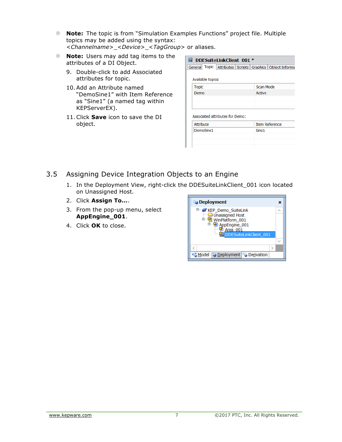- **Note:** The topic is from "Simulation Examples Functions" project file. Multiple topics may be added using the syntax: <*Channelname*>\_<*Device*>\_<*TagGroup*> or aliases.
- **Note:** Users may add tag items to the attributes of a DI Object.
	- 9. Double-click to add Associated attributes for topic.
	- 10. Add an Attribute named "DemoSine1" with Item Reference as "Sine1" (a named tag within KEPServerEX).
	- 11.Click **Save** icon to save the DI object.

**DDESuiteLinkClient 001 \*** General Topic Attributes Scripts Graphics Object Informa Available topics: **Topic** Scan Mode Demo Active Associated attributes for Demo: **Attribute Item Reference** DemoSine1 Sine1

- 3.5 Assigning Device Integration Objects to an Engine
	- 1. In the Deployment View, right-click the DDESuiteLinkClient\_001 icon located on Unassigned Host.
	- 2. Click **Assign To…**.
	- 3. From the pop-up menu, select **AppEngine\_001**.
	- 4. Click **OK** to close.

![](_page_8_Picture_11.jpeg)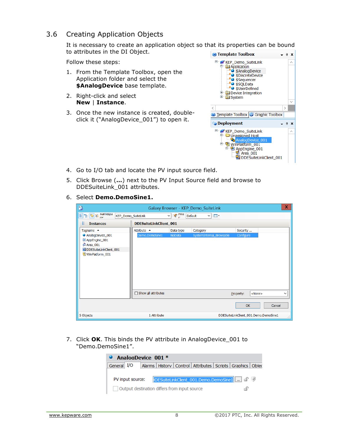#### 3.6 Creating Application Objects

It is necessary to create an application object so that its properties can be bound to attributes in the DI Object.

Follow these steps:

- 1. From the Template Toolbox, open the Application folder and select the **\$AnalogDevice** base template.
- 2. Right-click and select **New** | **Instance**.
- 3. Once the new instance is created, doubleclick it ("AnalogDevice\_001") to open it.

![](_page_9_Picture_6.jpeg)

- 4. Go to I/O tab and locate the PV input source field.
- 5. Click Browse (**…**) next to the PV Input Source field and browse to DDESuiteLink\_001 attributes.
- 6. Select **Demo.DemoSine1.**

| D                                                                                                                                                                                                                                                                                                                                                                                                       |                     |                        | Galaxy Browser - KEP Demo SuiteLink |                                       | $\mathbf x$  |  |  |  |  |  |
|---------------------------------------------------------------------------------------------------------------------------------------------------------------------------------------------------------------------------------------------------------------------------------------------------------------------------------------------------------------------------------------------------------|---------------------|------------------------|-------------------------------------|---------------------------------------|--------------|--|--|--|--|--|
| $\frac{1}{2}$ $\frac{1}{2}$ $\frac{1}{2}$ $\frac{1}{2}$ $\frac{1}{2}$ $\frac{1}{2}$ $\frac{1}{2}$ $\frac{1}{2}$ $\frac{1}{2}$ $\frac{1}{2}$ $\frac{1}{2}$ $\frac{1}{2}$ $\frac{1}{2}$ $\frac{1}{2}$ $\frac{1}{2}$ $\frac{1}{2}$ $\frac{1}{2}$ $\frac{1}{2}$ $\frac{1}{2}$ $\frac{1}{2}$ $\frac{1}{2}$ $\frac{1}{2}$<br>$\mathcal{R}$ Filte Default<br>◡∥<br>$\vee$ $\mathbb{E}$ .<br>KEP_Demo_SuiteLink |                     |                        |                                     |                                       |              |  |  |  |  |  |
| ᅊ<br><b>Instances</b>                                                                                                                                                                                                                                                                                                                                                                                   |                     | DDESuiteLinkClient_001 |                                     |                                       |              |  |  |  |  |  |
| Tagname $\triangle$                                                                                                                                                                                                                                                                                                                                                                                     | Attribute ▲         | Data type              | Category                            | Security                              |              |  |  |  |  |  |
| AnalogDevice_001<br>@ AppEngine_001<br>M Area_001<br>DDESuiteLinkClient_001<br>WinPlatform_001                                                                                                                                                                                                                                                                                                          | Demo.DemoSine1      | NoData                 | SystemInternal_Browsable            | Configure                             |              |  |  |  |  |  |
|                                                                                                                                                                                                                                                                                                                                                                                                         | Show all attributes |                        |                                     | $<$ None $>$<br>Property:             | $\checkmark$ |  |  |  |  |  |
|                                                                                                                                                                                                                                                                                                                                                                                                         |                     |                        |                                     | OK<br>Cancel                          |              |  |  |  |  |  |
| 5 Objects                                                                                                                                                                                                                                                                                                                                                                                               | 1 Attribute         |                        |                                     | DDESuiteLinkClient_001.Demo.DemoSine1 | зł.          |  |  |  |  |  |

7. Click **OK**. This binds the PV attribute in AnalogDevice\_001 to "Demo.DemoSine1".

| • AnalogDevice 001 *                              |  |  |  |                                                                       |  |  |  |  |  |  |  |
|---------------------------------------------------|--|--|--|-----------------------------------------------------------------------|--|--|--|--|--|--|--|
| General I/O                                       |  |  |  | Alarms   History   Control   Attributes   Scripts   Graphics   Object |  |  |  |  |  |  |  |
| PV input source:                                  |  |  |  | DESuiteLinkClient_001.Demo.DemoSine1                                  |  |  |  |  |  |  |  |
| Output destination differs from input source<br>÷ |  |  |  |                                                                       |  |  |  |  |  |  |  |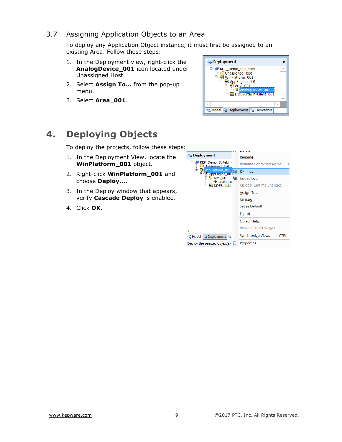## 3.7 Assigning Application Objects to an Area

To deploy any Application Object instance, it must first be assigned to an existing Area. Follow these steps:

- 1. In the Deployment view, right-click the **AnalogDevice\_001** icon located under Unassigned Host.
- 2. Select **Assign To…** from the pop-up menu.
- 3. Select **Area\_001**.

![](_page_10_Picture_5.jpeg)

## **4. Deploying Objects**

To deploy the projects, follow these steps:

- 1. In the Deployment View, locate the **WinPlatform\_001** object.
- 2. Right-click **WinPlatform\_001** and choose **Deploy...**.
- 3. In the Deploy window that appears, verify **Cascade Deploy** is enabled.
- 4. Click **OK**.

![](_page_10_Picture_12.jpeg)